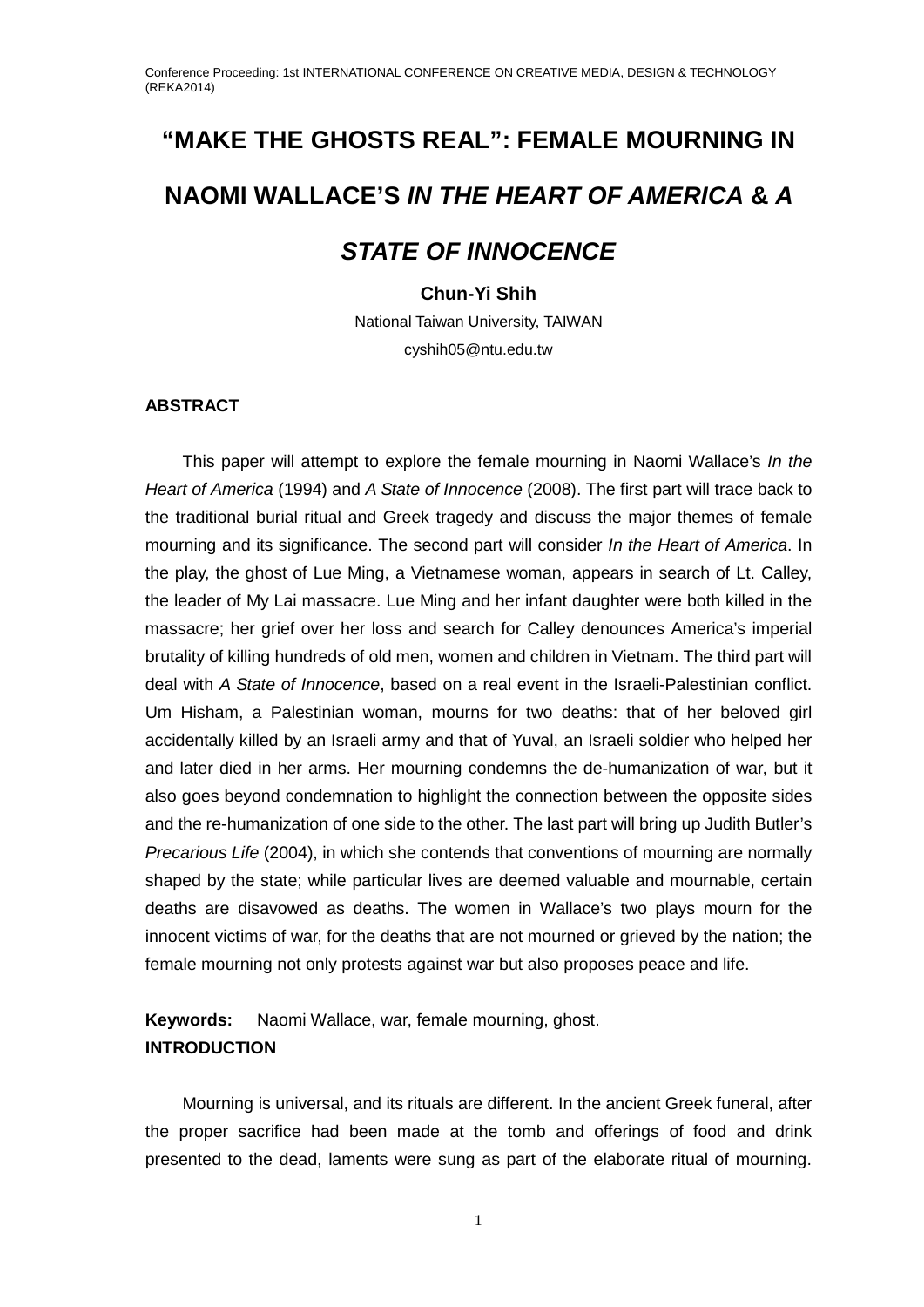# **"MAKE THE GHOSTS REAL": FEMALE MOURNING IN NAOMI WALLACE'S** *IN THE HEART OF AMERICA* **&** *A STATE OF INNOCENCE*

# **Chun-Yi Shih**

National Taiwan University, TAIWAN cyshih05@ntu.edu.tw

# **ABSTRACT**

This paper will attempt to explore the female mourning in Naomi Wallace's *In the Heart of America* (1994) and *A State of Innocence* (2008). The first part will trace back to the traditional burial ritual and Greek tragedy and discuss the major themes of female mourning and its significance. The second part will consider *In the Heart of America*. In the play, the ghost of Lue Ming, a Vietnamese woman, appears in search of Lt. Calley, the leader of My Lai massacre. Lue Ming and her infant daughter were both killed in the massacre; her grief over her loss and search for Calley denounces America's imperial brutality of killing hundreds of old men, women and children in Vietnam. The third part will deal with *A State of Innocence*, based on a real event in the Israeli-Palestinian conflict. Um Hisham, a Palestinian woman, mourns for two deaths: that of her beloved girl accidentally killed by an Israeli army and that of Yuval, an Israeli soldier who helped her and later died in her arms. Her mourning condemns the de-humanization of war, but it also goes beyond condemnation to highlight the connection between the opposite sides and the re-humanization of one side to the other. The last part will bring up Judith Butler's *Precarious Life* (2004), in which she contends that conventions of mourning are normally shaped by the state; while particular lives are deemed valuable and mournable, certain deaths are disavowed as deaths. The women in Wallace's two plays mourn for the innocent victims of war, for the deaths that are not mourned or grieved by the nation; the female mourning not only protests against war but also proposes peace and life.

**Keywords:** Naomi Wallace, war, female mourning, ghost. **INTRODUCTION**

Mourning is universal, and its rituals are different. In the ancient Greek funeral, after the proper sacrifice had been made at the tomb and offerings of food and drink presented to the dead, laments were sung as part of the elaborate ritual of mourning.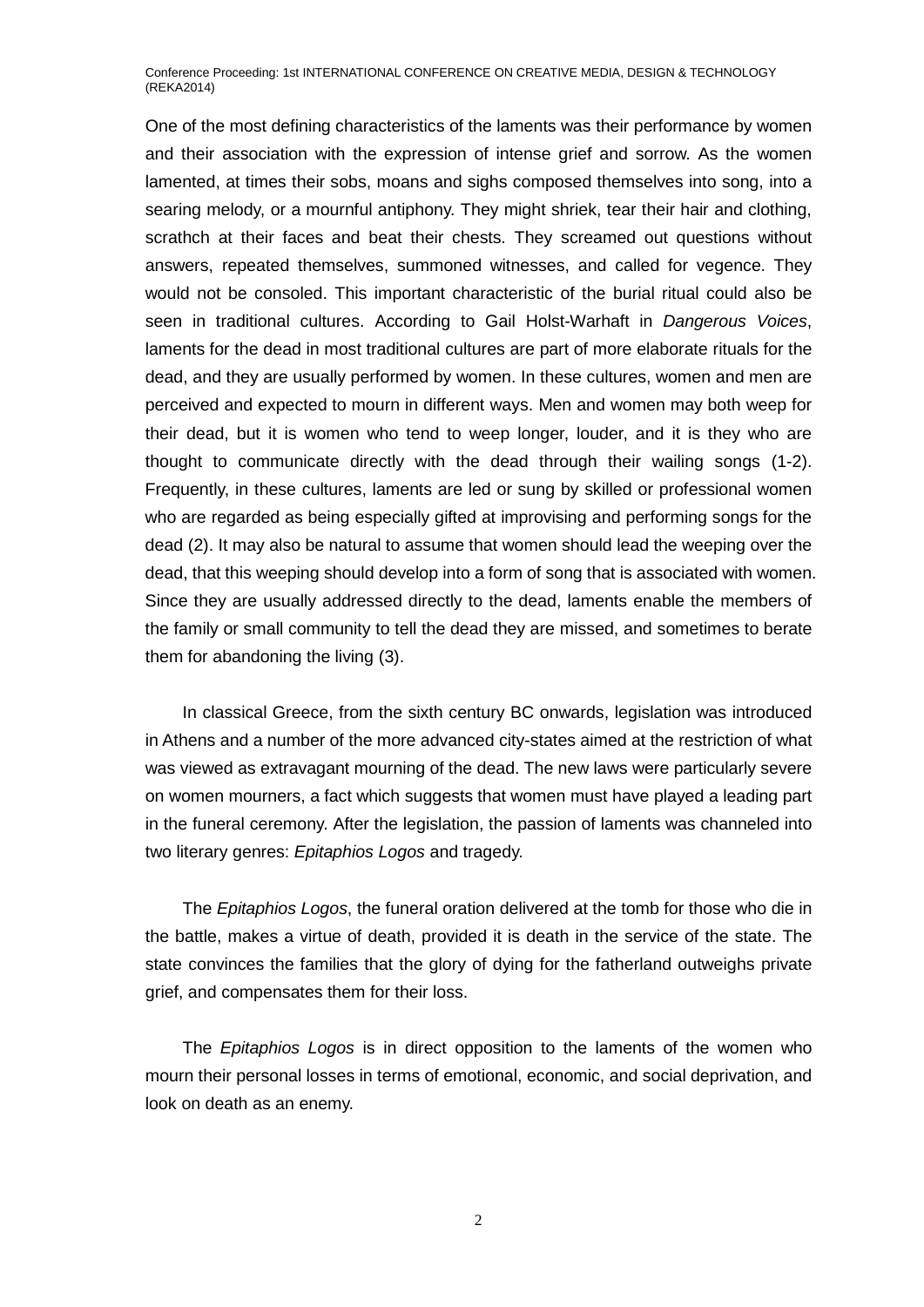One of the most defining characteristics of the laments was their performance by women and their association with the expression of intense grief and sorrow. As the women lamented, at times their sobs, moans and sighs composed themselves into song, into a searing melody, or a mournful antiphony. They might shriek, tear their hair and clothing, scrathch at their faces and beat their chests. They screamed out questions without answers, repeated themselves, summoned witnesses, and called for vegence. They would not be consoled. This important characteristic of the burial ritual could also be seen in traditional cultures. According to Gail Holst-Warhaft in *Dangerous Voices*, laments for the dead in most traditional cultures are part of more elaborate rituals for the dead, and they are usually performed by women. In these cultures, women and men are perceived and expected to mourn in different ways. Men and women may both weep for their dead, but it is women who tend to weep longer, louder, and it is they who are thought to communicate directly with the dead through their wailing songs (1-2). Frequently, in these cultures, laments are led or sung by skilled or professional women who are regarded as being especially gifted at improvising and performing songs for the dead (2). It may also be natural to assume that women should lead the weeping over the dead, that this weeping should develop into a form of song that is associated with women. Since they are usually addressed directly to the dead, laments enable the members of the family or small community to tell the dead they are missed, and sometimes to berate them for abandoning the living (3).

In classical Greece, from the sixth century BC onwards, legislation was introduced in Athens and a number of the more advanced city-states aimed at the restriction of what was viewed as extravagant mourning of the dead. The new laws were particularly severe on women mourners, a fact which suggests that women must have played a leading part in the funeral ceremony. After the legislation, the passion of laments was channeled into two literary genres: *Epitaphios Logos* and tragedy.

The *Epitaphios Logos*, the funeral oration delivered at the tomb for those who die in the battle, makes a virtue of death, provided it is death in the service of the state. The state convinces the families that the glory of dying for the fatherland outweighs private grief, and compensates them for their loss.

The *Epitaphios Logos* is in direct opposition to the laments of the women who mourn their personal losses in terms of emotional, economic, and social deprivation, and look on death as an enemy.

 $\overline{2}$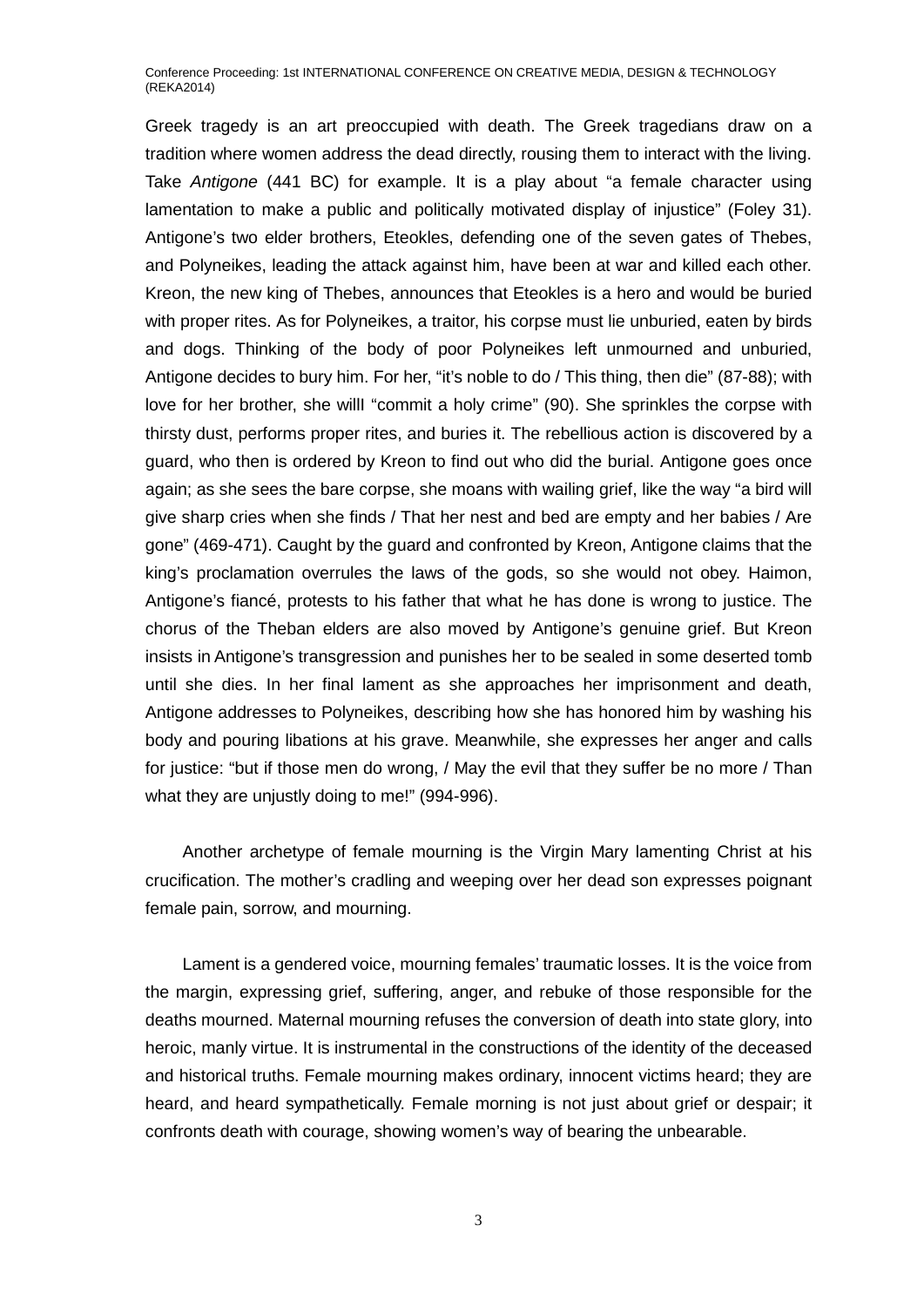Greek tragedy is an art preoccupied with death. The Greek tragedians draw on a tradition where women address the dead directly, rousing them to interact with the living. Take *Antigone* (441 BC) for example. It is a play about "a female character using lamentation to make a public and politically motivated display of injustice" (Foley 31). Antigone's two elder brothers, Eteokles, defending one of the seven gates of Thebes, and Polyneikes, leading the attack against him, have been at war and killed each other. Kreon, the new king of Thebes, announces that Eteokles is a hero and would be buried with proper rites. As for Polyneikes, a traitor, his corpse must lie unburied, eaten by birds and dogs. Thinking of the body of poor Polyneikes left unmourned and unburied, Antigone decides to bury him. For her, "it's noble to do / This thing, then die" (87-88); with love for her brother, she willI "commit a holy crime" (90). She sprinkles the corpse with thirsty dust, performs proper rites, and buries it. The rebellious action is discovered by a guard, who then is ordered by Kreon to find out who did the burial. Antigone goes once again; as she sees the bare corpse, she moans with wailing grief, like the way "a bird will give sharp cries when she finds / That her nest and bed are empty and her babies / Are gone" (469-471). Caught by the guard and confronted by Kreon, Antigone claims that the king's proclamation overrules the laws of the gods, so she would not obey. Haimon, Antigone's fiancé, protests to his father that what he has done is wrong to justice. The chorus of the Theban elders are also moved by Antigone's genuine grief. But Kreon insists in Antigone's transgression and punishes her to be sealed in some deserted tomb until she dies. In her final lament as she approaches her imprisonment and death, Antigone addresses to Polyneikes, describing how she has honored him by washing his body and pouring libations at his grave. Meanwhile, she expresses her anger and calls for justice: "but if those men do wrong, / May the evil that they suffer be no more / Than what they are uniustly doing to me!" (994-996).

Another archetype of female mourning is the Virgin Mary lamenting Christ at his crucification. The mother's cradling and weeping over her dead son expresses poignant female pain, sorrow, and mourning.

Lament is a gendered voice, mourning females' traumatic losses. It is the voice from the margin, expressing grief, suffering, anger, and rebuke of those responsible for the deaths mourned. Maternal mourning refuses the conversion of death into state glory, into heroic, manly virtue. It is instrumental in the constructions of the identity of the deceased and historical truths. Female mourning makes ordinary, innocent victims heard; they are heard, and heard sympathetically. Female morning is not just about grief or despair; it confronts death with courage, showing women's way of bearing the unbearable.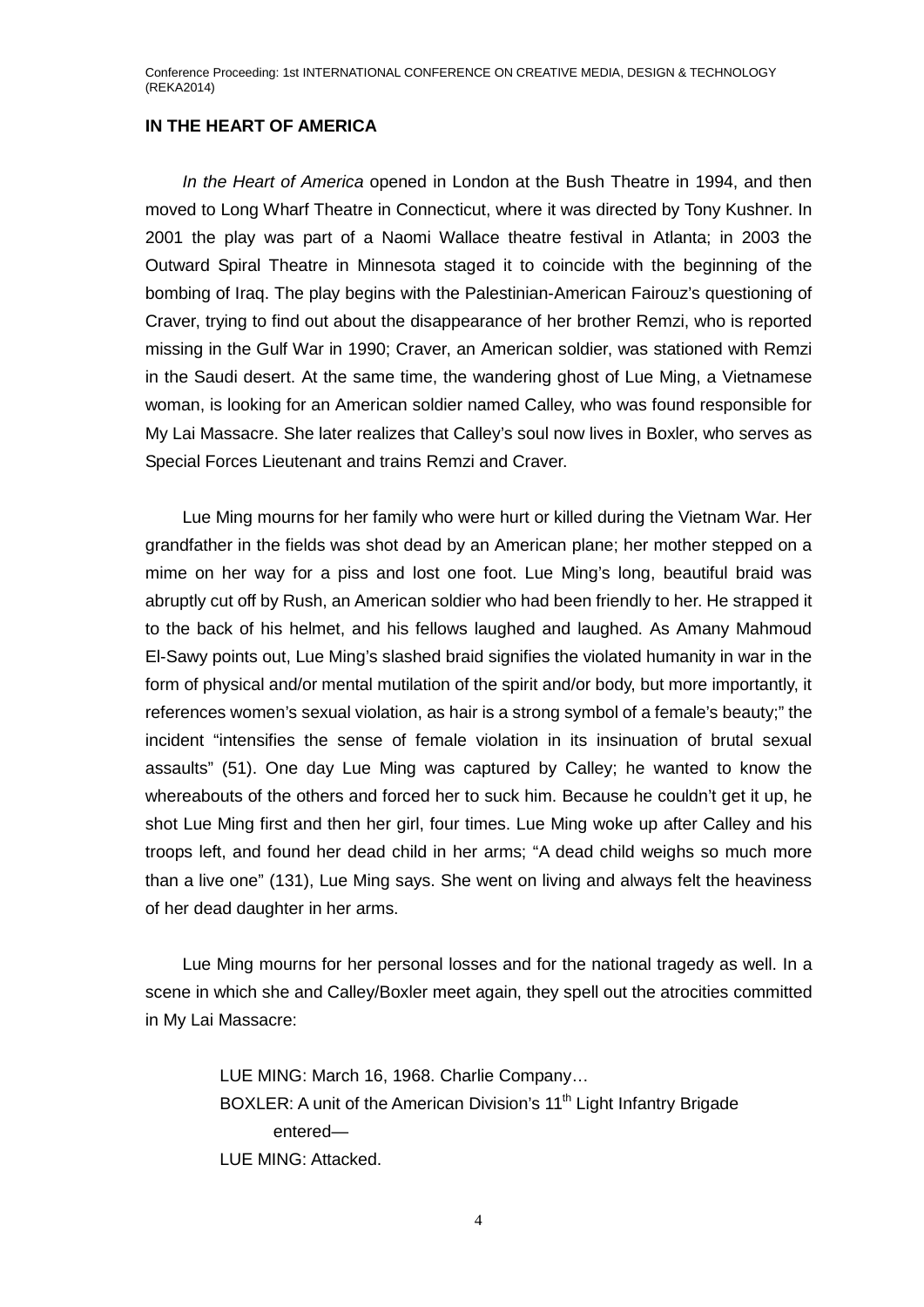## **IN THE HEART OF AMERICA**

*In the Heart of America* opened in London at the Bush Theatre in 1994, and then moved to Long Wharf Theatre in [Connecticut,](http://en.wikipedia.org/wiki/New_Haven,_Connecticut) where it was directed by Tony Kushner. In 2001 the play was part of a Naomi Wallace theatre festival in Atlanta; in 2003 the Outward Spiral Theatre in Minnesota staged it to coincide with the beginning of the bombing of Iraq. The play begins with the Palestinian-American Fairouz's questioning of Craver, trying to find out about the disappearance of her brother Remzi, who is reported missing in the Gulf War in 1990; Craver, an American soldier, was stationed with Remzi in the Saudi desert. At the same time, the wandering ghost of Lue Ming, a Vietnamese woman, is looking for an American soldier named Calley, who was found responsible for My Lai Massacre. She later realizes that Calley's soul now lives in Boxler, who serves as Special Forces Lieutenant and trains Remzi and Craver.

Lue Ming mourns for her family who were hurt or killed during the Vietnam War. Her grandfather in the fields was shot dead by an American plane; her mother stepped on a mime on her way for a piss and lost one foot. Lue Ming's long, beautiful braid was abruptly cut off by Rush, an American soldier who had been friendly to her. He strapped it to the back of his helmet, and his fellows laughed and laughed. As Amany Mahmoud El-Sawy points out, Lue Ming's slashed braid signifies the violated humanity in war in the form of physical and/or mental mutilation of the spirit and/or body, but more importantly, it references women's sexual violation, as hair is a strong symbol of a female's beauty;" the incident "intensifies the sense of female violation in its insinuation of brutal sexual assaults" (51). One day Lue Ming was captured by Calley; he wanted to know the whereabouts of the others and forced her to suck him. Because he couldn't get it up, he shot Lue Ming first and then her girl, four times. Lue Ming woke up after Calley and his troops left, and found her dead child in her arms; "A dead child weighs so much more than a live one" (131), Lue Ming says. She went on living and always felt the heaviness of her dead daughter in her arms.

Lue Ming mourns for her personal losses and for the national tragedy as well. In a scene in which she and Calley/Boxler meet again, they spell out the atrocities committed in My Lai Massacre:

> LUE MING: March 16, 1968. Charlie Company… BOXLER: A unit of the American Division's 11<sup>th</sup> Light Infantry Brigade entered— LUE MING: Attacked.

> > 4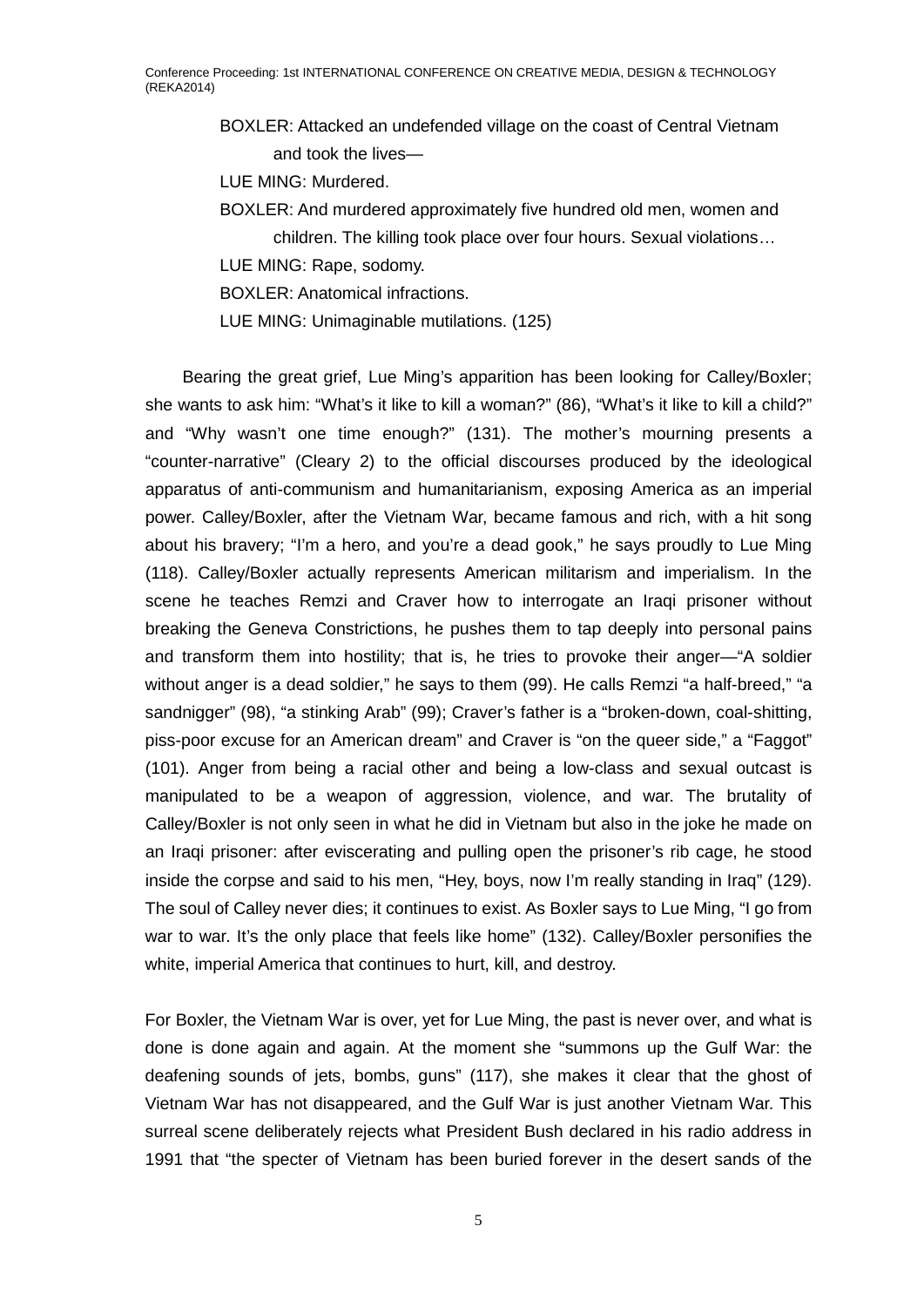BOXLER: Attacked an undefended village on the coast of Central Vietnam and took the lives—

LUE MING: Murdered.

BOXLER: And murdered approximately five hundred old men, women and children. The killing took place over four hours. Sexual violations…

LUE MING: Rape, sodomy.

BOXLER: Anatomical infractions.

LUE MING: Unimaginable mutilations. (125)

Bearing the great grief, Lue Ming's apparition has been looking for Calley/Boxler; she wants to ask him: "What's it like to kill a woman?" (86), "What's it like to kill a child?" and "Why wasn't one time enough?" (131). The mother's mourning presents a "counter-narrative" (Cleary 2) to the official discourses produced by the ideological apparatus of anti-communism and humanitarianism, exposing America as an imperial power. Calley/Boxler, after the Vietnam War, became famous and rich, with a hit song about his bravery; "I'm a hero, and you're a dead gook," he says proudly to Lue Ming (118). Calley/Boxler actually represents American militarism and imperialism. In the scene he teaches Remzi and Craver how to interrogate an Iraqi prisoner without breaking the Geneva Constrictions, he pushes them to tap deeply into personal pains and transform them into hostility; that is, he tries to provoke their anger—"A soldier without anger is a dead soldier," he says to them (99). He calls Remzi "a half-breed," "a sandnigger" (98), "a stinking Arab" (99); Craver's father is a "broken-down, coal-shitting, piss-poor excuse for an American dream" and Craver is "on the queer side," a "Faggot" (101). Anger from being a racial other and being a low-class and sexual outcast is manipulated to be a weapon of aggression, violence, and war. The brutality of Calley/Boxler is not only seen in what he did in Vietnam but also in the joke he made on an Iraqi prisoner: after eviscerating and pulling open the prisoner's rib cage, he stood inside the corpse and said to his men, "Hey, boys, now I'm really standing in Iraq" (129). The soul of Calley never dies; it continues to exist. As Boxler says to Lue Ming, "I go from war to war. It's the only place that feels like home" (132). Calley/Boxler personifies the white, imperial America that continues to hurt, kill, and destroy.

For Boxler, the Vietnam War is over, yet for Lue Ming, the past is never over, and what is done is done again and again. At the moment she "summons up the Gulf War: the deafening sounds of jets, bombs, guns" (117), she makes it clear that the ghost of Vietnam War has not disappeared, and the Gulf War is just another Vietnam War. This surreal scene deliberately rejects what President Bush declared in his radio address in 1991 that "the specter of Vietnam has been buried forever in the desert sands of the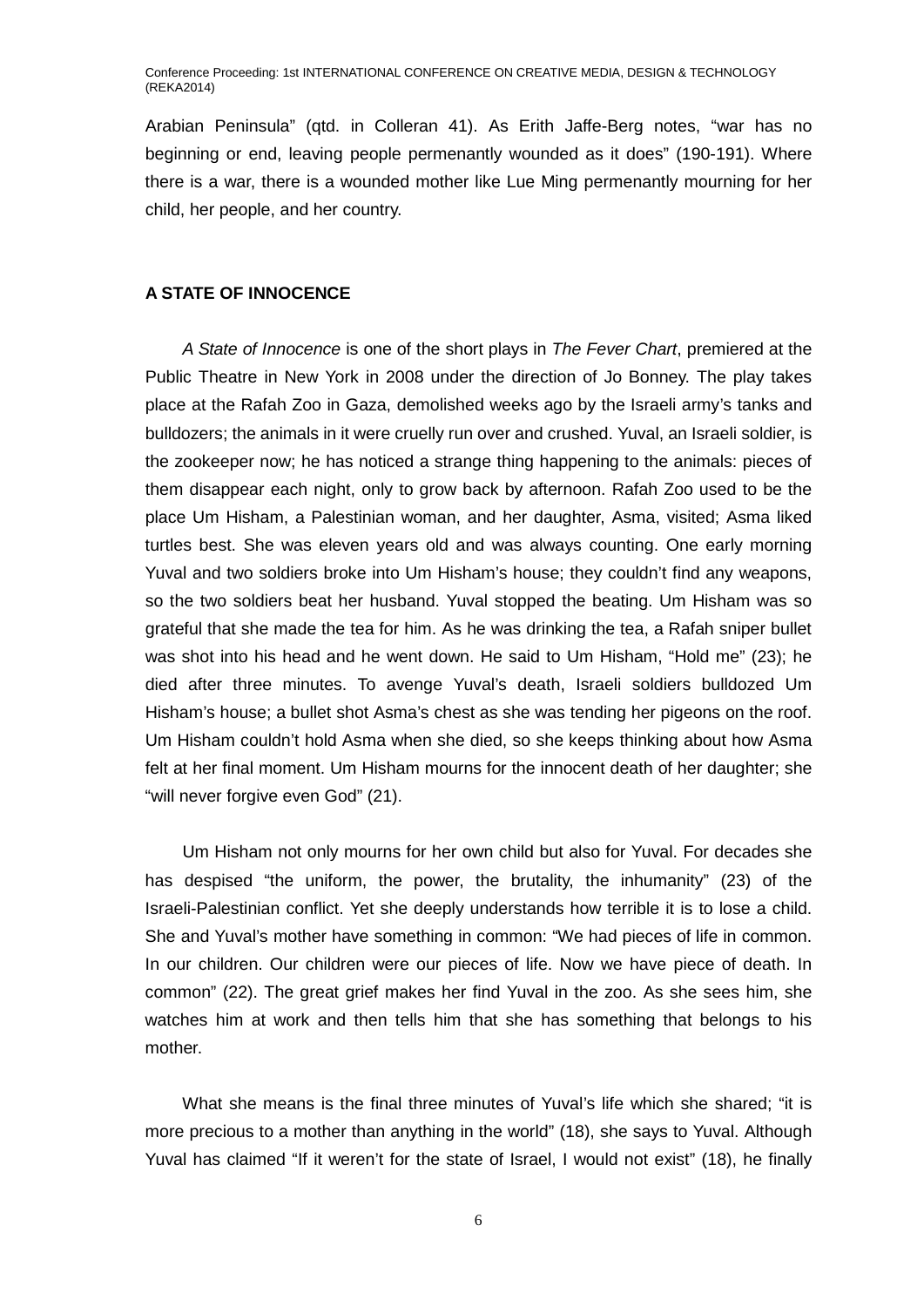Arabian Peninsula" (qtd. in Colleran 41). As Erith Jaffe-Berg notes, "war has no beginning or end, leaving people permenantly wounded as it does" (190-191). Where there is a war, there is a wounded mother like Lue Ming permenantly mourning for her child, her people, and her country.

# **A STATE OF INNOCENCE**

*A State of Innocence* is one of the short plays in *The Fever Chart*, premiered at the Public Theatre in New York in 2008 under the direction of Jo Bonney. The play takes place at the Rafah Zoo in Gaza, demolished weeks ago by the Israeli army's tanks and bulldozers; the animals in it were cruelly run over and crushed. Yuval, an Israeli soldier, is the zookeeper now; he has noticed a strange thing happening to the animals: pieces of them disappear each night, only to grow back by afternoon. Rafah Zoo used to be the place Um Hisham, a Palestinian woman, and her daughter, Asma, visited; Asma liked turtles best. She was eleven years old and was always counting. One early morning Yuval and two soldiers broke into Um Hisham's house; they couldn't find any weapons, so the two soldiers beat her husband. Yuval stopped the beating. Um Hisham was so grateful that she made the tea for him. As he was drinking the tea, a Rafah sniper bullet was shot into his head and he went down. He said to Um Hisham, "Hold me" (23); he died after three minutes. To avenge Yuval's death, Israeli soldiers bulldozed Um Hisham's house; a bullet shot Asma's chest as she was tending her pigeons on the roof. Um Hisham couldn't hold Asma when she died, so she keeps thinking about how Asma felt at her final moment. Um Hisham mourns for the innocent death of her daughter; she "will never forgive even God" (21).

Um Hisham not only mourns for her own child but also for Yuval. For decades she has despised "the uniform, the power, the brutality, the inhumanity" (23) of the Israeli-Palestinian conflict. Yet she deeply understands how terrible it is to lose a child. She and Yuval's mother have something in common: "We had pieces of life in common. In our children. Our children were our pieces of life. Now we have piece of death. In common" (22). The great grief makes her find Yuval in the zoo. As she sees him, she watches him at work and then tells him that she has something that belongs to his mother.

What she means is the final three minutes of Yuval's life which she shared; "it is more precious to a mother than anything in the world" (18), she says to Yuval. Although Yuval has claimed "If it weren't for the state of Israel, I would not exist" (18), he finally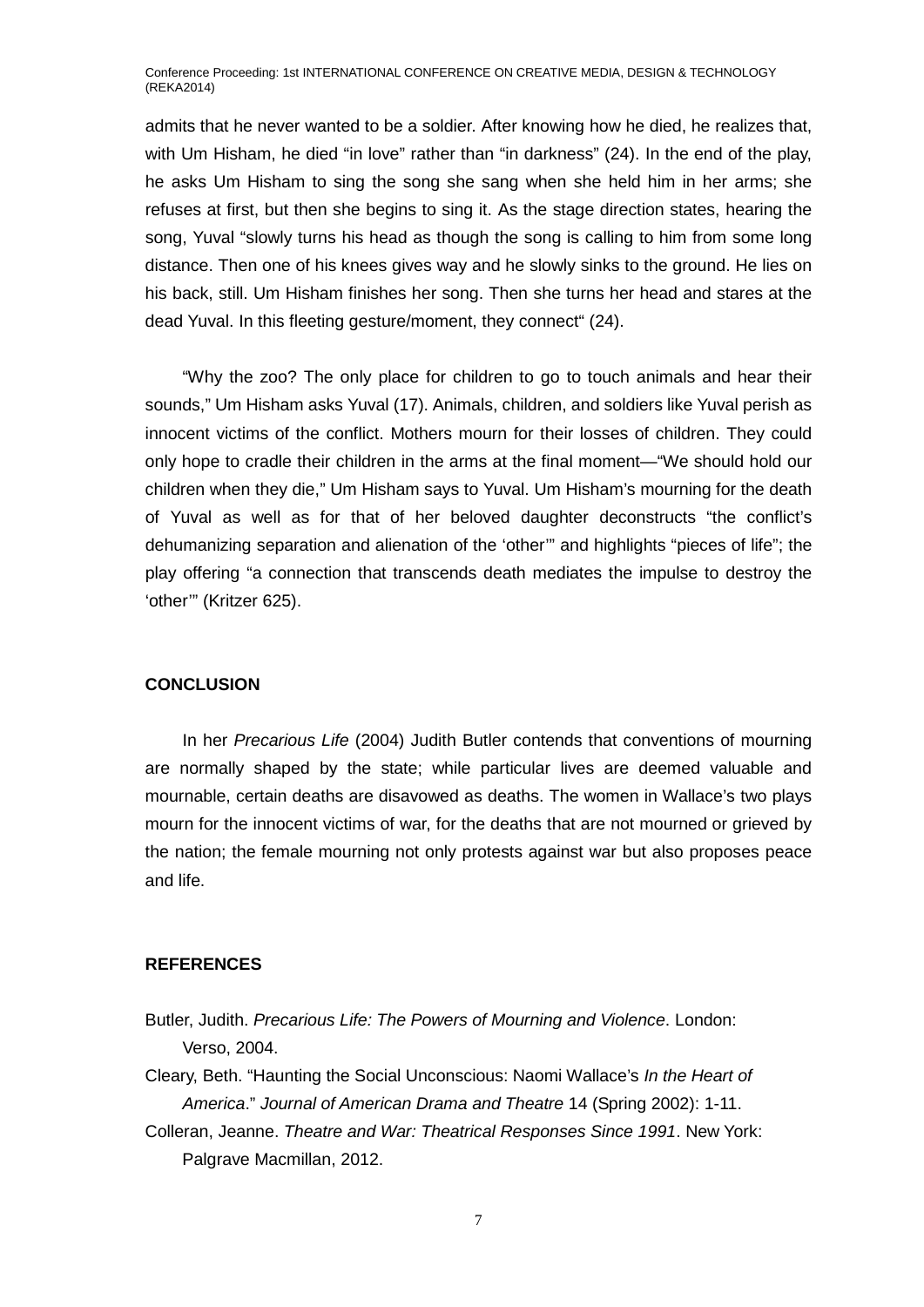admits that he never wanted to be a soldier. After knowing how he died, he realizes that, with Um Hisham, he died "in love" rather than "in darkness" (24). In the end of the play, he asks Um Hisham to sing the song she sang when she held him in her arms; she refuses at first, but then she begins to sing it. As the stage direction states, hearing the song, Yuval "slowly turns his head as though the song is calling to him from some long distance. Then one of his knees gives way and he slowly sinks to the ground. He lies on his back, still. Um Hisham finishes her song. Then she turns her head and stares at the dead Yuval. In this fleeting gesture/moment, they connect" (24).

"Why the zoo? The only place for children to go to touch animals and hear their sounds," Um Hisham asks Yuval (17). Animals, children, and soldiers like Yuval perish as innocent victims of the conflict. Mothers mourn for their losses of children. They could only hope to cradle their children in the arms at the final moment—"We should hold our children when they die," Um Hisham says to Yuval. Um Hisham's mourning for the death of Yuval as well as for that of her beloved daughter deconstructs "the conflict's dehumanizing separation and alienation of the 'other'" and highlights "pieces of life"; the play offering "a connection that transcends death mediates the impulse to destroy the 'other'" (Kritzer 625).

### **CONCLUSION**

In her *Precarious Life* (2004) Judith Butler contends that conventions of mourning are normally shaped by the state; while particular lives are deemed valuable and mournable, certain deaths are disavowed as deaths. The women in Wallace's two plays mourn for the innocent victims of war, for the deaths that are not mourned or grieved by the nation; the female mourning not only protests against war but also proposes peace and life.

# **REFERENCES**

Butler, Judith. *Precarious Life: The Powers of Mourning and Violence*. London: Verso, 2004.

Cleary, Beth. "Haunting the Social Unconscious: Naomi Wallace's *In the Heart of America*." *Journal of American Drama and Theatre* 14 (Spring 2002): 1-11.

Colleran, Jeanne. *Theatre and War: Theatrical Responses Since 1991*. New York: Palgrave Macmillan, 2012.